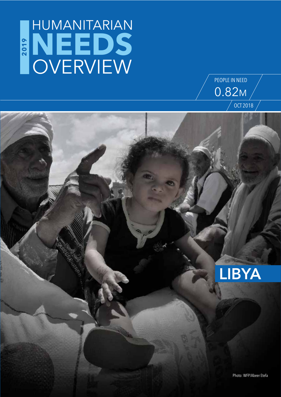## **NEEDS** HUMANITARIAN OVERVIEW **2019**

**LIBYA**

OCT 2018

PEOPLE IN NEED

0.82M

Photo: WFP/Abeer Etefa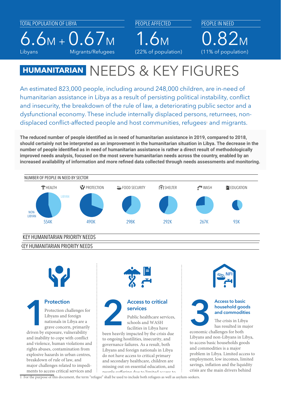Libyans

INTERNALLY **RETURNEES** 

Migrants/Refugees

PEOPLE AFFECTED

6.6M + 0.67M 1.6M CHILDREN

PEOPLE IN NEED 0.82<sub>M</sub> Libyans Migrants/Refugees (22% of population) (11% of population)  $(11\% \text{ of nonulati})$ BY POPULATION GROUPS BY AGE & SEX

#### **HUMANITARIAN** NEEDS & KEY FIGURES 97K 165K 148K  $248K$  551K  $\pm$  51K  $\pm$  51K  $\pm$  51K  $\pm$

An estimated 823,000 people, including around 248,000 children, are in-need of humanitarian assistance in Libya as a result of persisting political instability, conflict and insecurity, the breakdown of the rule of law, a deteriorating public sector and a dysfunctional economy. These include internally displaced persons, returnees, nondisplaced conflict-affected people and host communities, refugees<sup>1</sup> and migrants.

The reduced number of people identified as in need of humanitarian assistance in 2019, compared to 2018, **343K**<br>Male 325 March 2018, <sup>2</sup>43K 2018, <sup>24</sup>K 2018, 2019, 2019, 2019, 2019, 2019, 2019, 2019, 2019, 2019, 2019, 2019 **should certainly not be interpreted as an improvement in the humanitarian situation in Libya. The decrease in the number of people identified as in need of humanitarian assistance is rather a direct result of methodologically**  improved needs analysis, focused on the most severe humanitarian needs across the country, enabled by an **increased availability of information and more refined data collected through needs assessments and monitoring.**





### **Protection**

Protection challenges for Libyans and foreign nationals in Libya are a grave concern, primarily driven by exposure, vulnerability and inability to cope with conflict and violence, human violations and rights abuses, contamination from explosive hazards in urban centres, breakdown of rule of law, and major challenges related to impediments to access critical services and **11 Protection**<br>
Protection challenges for<br>
Libyans and foreign<br>
protection challenges for<br>
Libyans and foreign<br>
protection call **11 Protection**<br>
Public healthcare services<br>
protection schools and WASH<br>
facilities in Libya



## **services**

Public healthcare services, schools and WASH facilities in Libya have

been heavily impacted by the crisis due to ongoing hostilities, insecurity, and governance failures. As a result, both Libyans and foreign nationals in Libya do not have access to critical primary and secondary healthcare, children are missing out on essential education, and people suering due to limited access to





### **household goods and commodities**

The crisis in Libya has resulted in major

economic challenges for both Libyans and non-Libyans in Libya, to access basic households goods and commodities is a major problem in Libya. Limited access to employment, low incomes, limited savings, inflation and the liquidity crisis are the main drivers behind

1 For the purpose of this document, the term "refugee" shall be used to include both refugees as well as asylum-seekers.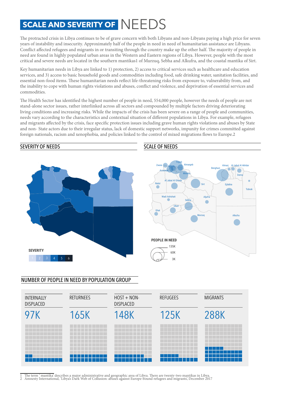### **SCALE AND SEVERITY OF** NEEDS

The protracted crisis in Libya continues to be of grave concern with both Libyans and non-Libyans paying a high price for seven years of instability and insecurity. Approximately half of the people in need in need of humanitarian assistance are Libyans. Conflict affected refugees and migrants in or transiting through the country make up the other half. The majority of people in need are found in highly populated urban areas in the Western and Eastern regions of Libya. However, people with the most critical and severe needs are located in the southern mantikas1 of Murzuq, Sebha and Alkufra, and the coastal mantika of Sirt.

Key humanitarian needs in Libya are linked to 1) protection, 2) access to critical services such as healthcare and education services, and 3) access to basic household goods and commodities including food, safe drinking water, sanitation facilities, and essential non-food items. These humanitarian needs reflect life-threatening risks from exposure to, vulnerability from, and the inability to cope with human rights violations and abuses, conflict and violence, and deprivation of essential services and commodities.

The Health Sector has identified the highest number of people in need, 554,000 people, however the needs of people are not stand-alone sector issues, rather interlinked across all sectors and compounded by multiple factors driving deteriorating living conditions and increasing risks. While the impacts of the crisis has been severe on a range of people and communities, needs vary according to the characteristics and contextual situation of different populations in Libya. For example, refugees and migrants affected by the crisis, face specific protection issues including grave human rights violations and abuses by State and non- State actors due to their irregular status, lack of domestic support networks, impunity for crimes committed against foreign nationals, racism and xenophobia, and policies linked to the control of mixed migrations flows to Europe.2



#### NUMBER OF PEOPLE IN NEED BY POPULATION GROUP



1 The term ' mantika' describes a major administrative and geographic area of Libya. There are twenty-two mantikas in Libya.<br>2 Amnesty International, 'Libya's Dark Web of Collusion: abuses against Europe-bound refugees